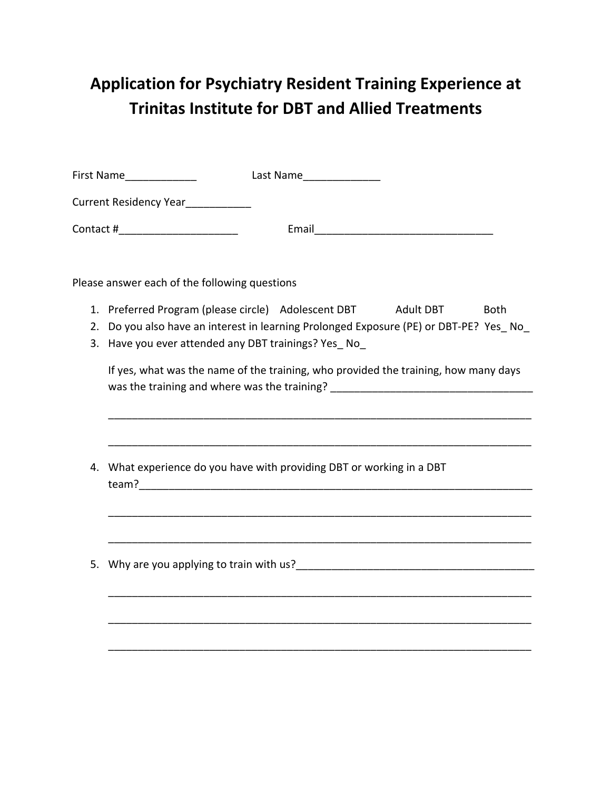## **Application for Psychiatry Resident Training Experience at Trinitas Institute for DBT and Allied Treatments**

|    | First Name______________                                                                                                                                                                                                  |
|----|---------------------------------------------------------------------------------------------------------------------------------------------------------------------------------------------------------------------------|
|    | Current Residency Year___________                                                                                                                                                                                         |
|    | Contact #_________________________                                                                                                                                                                                        |
|    | Please answer each of the following questions                                                                                                                                                                             |
| 2. | 1. Preferred Program (please circle) Adolescent DBT Adult DBT<br><b>Both</b><br>Do you also have an interest in learning Prolonged Exposure (PE) or DBT-PE? Yes No<br>3. Have you ever attended any DBT trainings? Yes No |
|    | If yes, what was the name of the training, who provided the training, how many days<br>was the training and where was the training? ___________________________________                                                   |
|    |                                                                                                                                                                                                                           |
|    | 4. What experience do you have with providing DBT or working in a DBT                                                                                                                                                     |
|    |                                                                                                                                                                                                                           |
| 5. |                                                                                                                                                                                                                           |
|    |                                                                                                                                                                                                                           |
|    |                                                                                                                                                                                                                           |